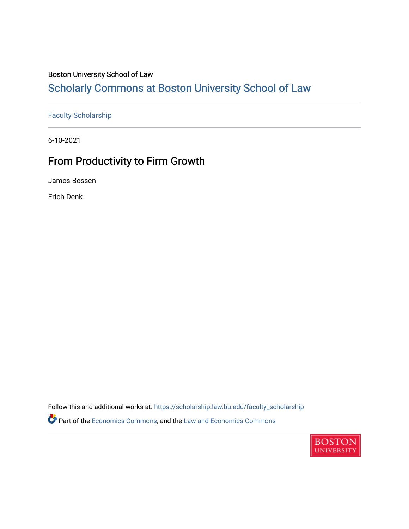## Boston University School of Law

# [Scholarly Commons at Boston University School of Law](https://scholarship.law.bu.edu/)

[Faculty Scholarship](https://scholarship.law.bu.edu/faculty_scholarship)

6-10-2021

## From Productivity to Firm Growth

James Bessen

Erich Denk

Follow this and additional works at: [https://scholarship.law.bu.edu/faculty\\_scholarship](https://scholarship.law.bu.edu/faculty_scholarship?utm_source=scholarship.law.bu.edu%2Ffaculty_scholarship%2F1351&utm_medium=PDF&utm_campaign=PDFCoverPages) Part of the [Economics Commons](http://network.bepress.com/hgg/discipline/340?utm_source=scholarship.law.bu.edu%2Ffaculty_scholarship%2F1351&utm_medium=PDF&utm_campaign=PDFCoverPages), and the [Law and Economics Commons](http://network.bepress.com/hgg/discipline/612?utm_source=scholarship.law.bu.edu%2Ffaculty_scholarship%2F1351&utm_medium=PDF&utm_campaign=PDFCoverPages) 

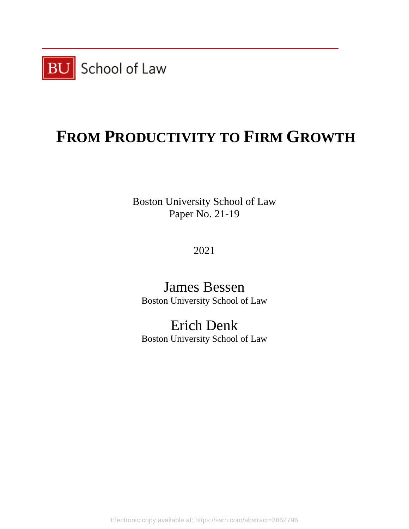

# **FROM PRODUCTIVITY TO FIRM GROWTH**

Boston University School of Law Paper No. 21-19

2021

James Bessen Boston University School of Law

Erich Denk

Boston University School of Law

Electronic copy available at: https://ssrn.com/abstract=3862796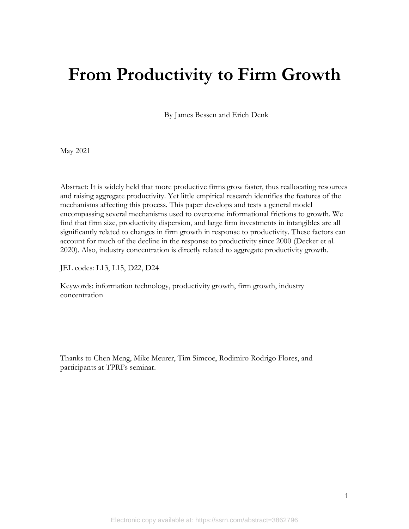# **From Productivity to Firm Growth**

By James Bessen and Erich Denk

May 2021

Abstract: It is widely held that more productive firms grow faster, thus reallocating resources and raising aggregate productivity. Yet little empirical research identifies the features of the mechanisms affecting this process. This paper develops and tests a general model encompassing several mechanisms used to overcome informational frictions to growth. We find that firm size, productivity dispersion, and large firm investments in intangibles are all significantly related to changes in firm growth in response to productivity. These factors can account for much of the decline in the response to productivity since 2000 (Decker et al. 2020). Also, industry concentration is directly related to aggregate productivity growth.

JEL codes: L13, L15, D22, D24

Keywords: information technology, productivity growth, firm growth, industry concentration

Thanks to Chen Meng, Mike Meurer, Tim Simcoe, Rodimiro Rodrigo Flores, and participants at TPRI's seminar.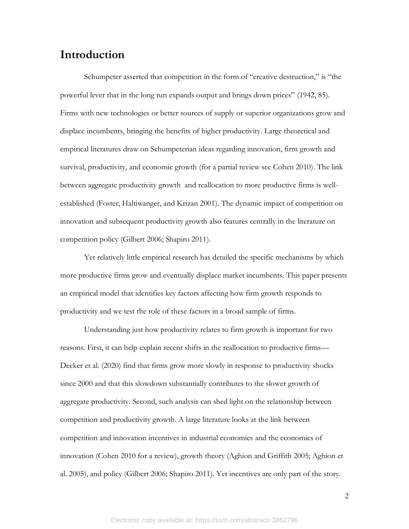## **Introduction**

Schumpeter asserted that competition in the form of "creative destruction," is "the powerful lever that in the long run expands output and brings down prices" (1942, 85). Firms with new technologies or better sources of supply or superior organizations grow and displace incumbents, bringing the benefits of higher productivity. Large theoretical and empirical literatures draw on Schumpeterian ideas regarding innovation, firm growth and survival, productivity, and economic growth (for a partial review see Cohen 2010). The link between aggregate productivity growth and reallocation to more productive firms is wellestablished (Foster, Haltiwanger, and Krizan 2001). The dynamic impact of competition on innovation and subsequent productivity growth also features centrally in the literature on competition policy (Gilbert 2006; Shapiro 2011).

Yet relatively little empirical research has detailed the specific mechanisms by which more productive firms grow and eventually displace market incumbents. This paper presents an empirical model that identifies key factors affecting how firm growth responds to productivity and we test the role of these factors in a broad sample of firms.

Understanding just how productivity relates to firm growth is important for two reasons. First, it can help explain recent shifts in the reallocation to productive firms— Decker et al. (2020) find that firms grow more slowly in response to productivity shocks since 2000 and that this slowdown substantially contributes to the slower growth of aggregate productivity. Second, such analysis can shed light on the relationship between competition and productivity growth. A large literature looks at the link between competition and innovation incentives in industrial economies and the economics of innovation (Cohen 2010 for a review), growth theory (Aghion and Griffith 2005; Aghion et al. 2005), and policy (Gilbert 2006; Shapiro 2011). Yet incentives are only part of the story.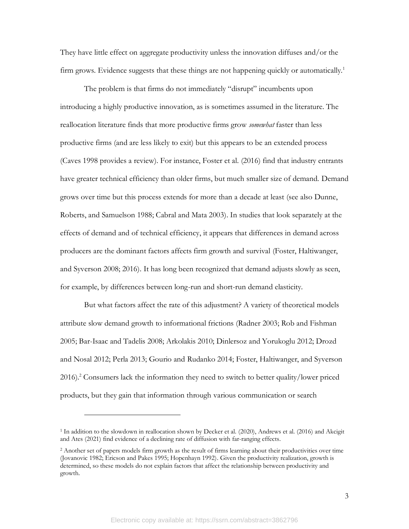They have little effect on aggregate productivity unless the innovation diffuses and/or the firm grows. Evidence suggests that these things are not happening quickly or automatically.<sup>1</sup>

The problem is that firms do not immediately "disrupt" incumbents upon introducing a highly productive innovation, as is sometimes assumed in the literature. The reallocation literature finds that more productive firms grow *somewhat* faster than less productive firms (and are less likely to exit) but this appears to be an extended process (Caves 1998 provides a review). For instance, Foster et al. (2016) find that industry entrants have greater technical efficiency than older firms, but much smaller size of demand. Demand grows over time but this process extends for more than a decade at least (see also Dunne, Roberts, and Samuelson 1988; Cabral and Mata 2003). In studies that look separately at the effects of demand and of technical efficiency, it appears that differences in demand across producers are the dominant factors affects firm growth and survival (Foster, Haltiwanger, and Syverson 2008; 2016). It has long been recognized that demand adjusts slowly as seen, for example, by differences between long-run and short-run demand elasticity.

But what factors affect the rate of this adjustment? A variety of theoretical models attribute slow demand growth to informational frictions (Radner 2003; Rob and Fishman 2005; Bar-Isaac and Tadelis 2008; Arkolakis 2010; Dinlersoz and Yorukoglu 2012; Drozd and Nosal 2012; Perla 2013; Gourio and Rudanko 2014; Foster, Haltiwanger, and Syverson 2016). <sup>2</sup> Consumers lack the information they need to switch to better quality/lower priced products, but they gain that information through various communication or search

<sup>1</sup> In addition to the slowdown in reallocation shown by Decker et al. (2020), Andrews et al. (2016) and Akcigit and Ates (2021) find evidence of a declining rate of diffusion with far-ranging effects.

<sup>2</sup> Another set of papers models firm growth as the result of firms learning about their productivities over time (Jovanovic 1982; Ericson and Pakes 1995; Hopenhayn 1992). Given the productivity realization, growth is determined, so these models do not explain factors that affect the relationship between productivity and growth.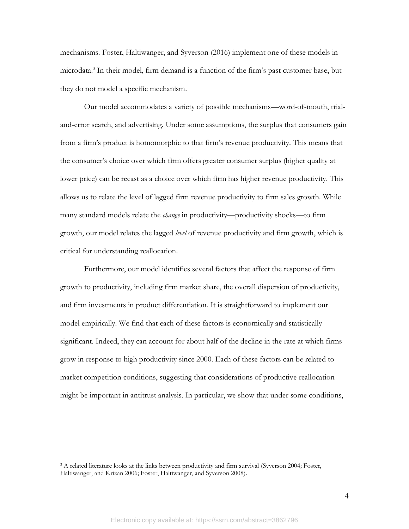mechanisms. Foster, Haltiwanger, and Syverson (2016) implement one of these models in microdata.<sup>3</sup> In their model, firm demand is a function of the firm's past customer base, but they do not model a specific mechanism.

Our model accommodates a variety of possible mechanisms—word-of-mouth, trialand-error search, and advertising. Under some assumptions, the surplus that consumers gain from a firm's product is homomorphic to that firm's revenue productivity. This means that the consumer's choice over which firm offers greater consumer surplus (higher quality at lower price) can be recast as a choice over which firm has higher revenue productivity. This allows us to relate the level of lagged firm revenue productivity to firm sales growth. While many standard models relate the *change* in productivity—productivity shocks—to firm growth, our model relates the lagged *level* of revenue productivity and firm growth, which is critical for understanding reallocation.

Furthermore, our model identifies several factors that affect the response of firm growth to productivity, including firm market share, the overall dispersion of productivity, and firm investments in product differentiation. It is straightforward to implement our model empirically. We find that each of these factors is economically and statistically significant. Indeed, they can account for about half of the decline in the rate at which firms grow in response to high productivity since 2000. Each of these factors can be related to market competition conditions, suggesting that considerations of productive reallocation might be important in antitrust analysis. In particular, we show that under some conditions,

<sup>&</sup>lt;sup>3</sup> A related literature looks at the links between productivity and firm survival (Syverson 2004; Foster, Haltiwanger, and Krizan 2006; Foster, Haltiwanger, and Syverson 2008).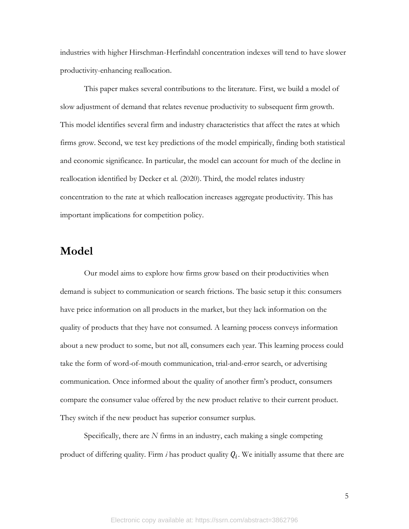industries with higher Hirschman-Herfindahl concentration indexes will tend to have slower productivity-enhancing reallocation.

This paper makes several contributions to the literature. First, we build a model of slow adjustment of demand that relates revenue productivity to subsequent firm growth. This model identifies several firm and industry characteristics that affect the rates at which firms grow. Second, we test key predictions of the model empirically, finding both statistical and economic significance. In particular, the model can account for much of the decline in reallocation identified by Decker et al. (2020). Third, the model relates industry concentration to the rate at which reallocation increases aggregate productivity. This has important implications for competition policy.

## **Model**

Our model aims to explore how firms grow based on their productivities when demand is subject to communication or search frictions. The basic setup it this: consumers have price information on all products in the market, but they lack information on the quality of products that they have not consumed. A learning process conveys information about a new product to some, but not all, consumers each year. This learning process could take the form of word-of-mouth communication, trial-and-error search, or advertising communication. Once informed about the quality of another firm's product, consumers compare the consumer value offered by the new product relative to their current product. They switch if the new product has superior consumer surplus.

Specifically, there are *N* firms in an industry, each making a single competing product of differing quality. Firm  $i$  has product quality  $Q_i$ . We initially assume that there are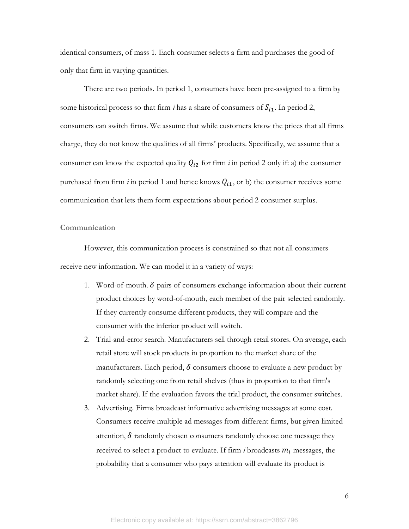identical consumers, of mass 1. Each consumer selects a firm and purchases the good of only that firm in varying quantities.

There are two periods. In period 1, consumers have been pre-assigned to a firm by some historical process so that firm  $i$  has a share of consumers of  $S_{i1}$ . In period 2, consumers can switch firms. We assume that while customers know the prices that all firms charge, they do not know the qualities of all firms' products. Specifically, we assume that a consumer can know the expected quality  $Q_{i2}$  for firm *i* in period 2 only if: a) the consumer purchased from firm  $i$  in period 1 and hence knows  $Q_{i1}$ , or b) the consumer receives some communication that lets them form expectations about period 2 consumer surplus.

### **Communication**

However, this communication process is constrained so that not all consumers receive new information. We can model it in a variety of ways:

- 1. Word-of-mouth.  $\delta$  pairs of consumers exchange information about their current product choices by word-of-mouth, each member of the pair selected randomly. If they currently consume different products, they will compare and the consumer with the inferior product will switch.
- 2. Trial-and-error search. Manufacturers sell through retail stores. On average, each retail store will stock products in proportion to the market share of the manufacturers. Each period,  $\delta$  consumers choose to evaluate a new product by randomly selecting one from retail shelves (thus in proportion to that firm's market share). If the evaluation favors the trial product, the consumer switches.
- 3. Advertising. Firms broadcast informative advertising messages at some cost. Consumers receive multiple ad messages from different firms, but given limited attention,  $\delta$  randomly chosen consumers randomly choose one message they received to select a product to evaluate. If firm  $i$  broadcasts  $m_i$  messages, the probability that a consumer who pays attention will evaluate its product is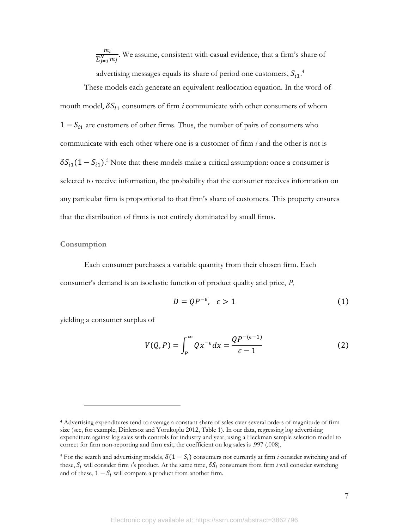$m_i$  $\frac{m_l}{\sum_{j=1}^{N} m_j}$ . We assume, consistent with casual evidence, that a firm's share of

advertising messages equals its share of period one customers,  $S_{i1}.^4$ 

These models each generate an equivalent reallocation equation. In the word-ofmouth model,  $\delta S_{i1}$  consumers of firm *i* communicate with other consumers of whom  $1 - S_{i1}$  are customers of other firms. Thus, the number of pairs of consumers who communicate with each other where one is a customer of firm *i* and the other is not is  $\delta S_{i1}(1-S_{i1})$ .<sup>5</sup> Note that these models make a critical assumption: once a consumer is selected to receive information, the probability that the consumer receives information on any particular firm is proportional to that firm's share of customers. This property ensures that the distribution of firms is not entirely dominated by small firms.

#### **Consumption**

Each consumer purchases a variable quantity from their chosen firm. Each consumer's demand is an isoelastic function of product quality and price, *P*,

$$
D = QP^{-\epsilon}, \quad \epsilon > 1 \tag{1}
$$

yielding a consumer surplus of

$$
V(Q, P) = \int_{P}^{\infty} Qx^{-\epsilon} dx = \frac{QP^{-(\epsilon - 1)}}{\epsilon - 1}
$$
 (2)

<sup>4</sup> Advertising expenditures tend to average a constant share of sales over several orders of magnitude of firm size (see, for example, Dinlersoz and Yorukoglu 2012, Table 1). In our data, regressing log advertising expenditure against log sales with controls for industry and year, using a Heckman sample selection model to correct for firm non-reporting and firm exit, the coefficient on log sales is .997 (.008).

<sup>&</sup>lt;sup>5</sup> For the search and advertising models,  $\delta(1 - S_i)$  consumers not currently at firm *i* consider switching and of these,  $S_i$  will consider firm *i*'s product. At the same time,  $\delta S_i$  consumers from firm *i* will consider switching and of these,  $1 - S_i$  will compare a product from another firm.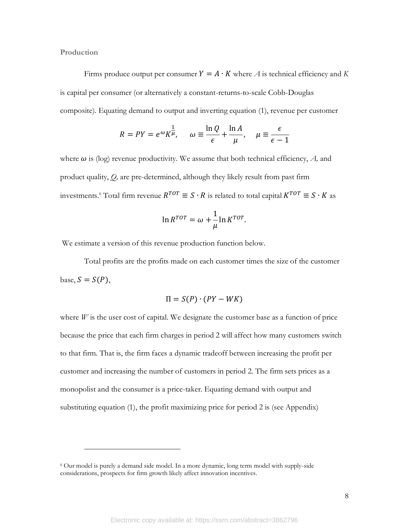**Production**

Firms produce output per consumer  $Y = A \cdot K$  where A is technical efficiency and K is capital per consumer (or alternatively a constant-returns-to-scale Cobb-Douglas composite). Equating demand to output and inverting equation (1), revenue per customer

$$
R = PY = e^{\omega} K^{\frac{1}{\mu}}, \quad \omega \equiv \frac{\ln Q}{\epsilon} + \frac{\ln A}{\mu}, \quad \mu \equiv \frac{\epsilon}{\epsilon - 1}
$$

where  $\omega$  is (log) revenue productivity. We assume that both technical efficiency,  $A$ , and product quality, *Q,* are pre-determined, although they likely result from past firm investments.<sup>6</sup> Total firm revenue  $R^{TOT} \equiv S \cdot R$  is related to total capital  $K^{TOT} \equiv S \cdot K$  as

$$
\ln R^{TOT} = \omega + \frac{1}{\mu} \ln K^{TOT}.
$$

We estimate a version of this revenue production function below.

Total profits are the profits made on each customer times the size of the customer base,  $S = S(P)$ ,

$$
\Pi = S(P) \cdot (PY - WK)
$$

where  $W$  is the user cost of capital. We designate the customer base as a function of price because the price that each firm charges in period 2 will affect how many customers switch to that firm. That is, the firm faces a dynamic tradeoff between increasing the profit per customer and increasing the number of customers in period 2. The firm sets prices as a monopolist and the consumer is a price-taker. Equating demand with output and substituting equation (1), the profit maximizing price for period 2 is (see Appendix)

<sup>6</sup> Our model is purely a demand side model. In a more dynamic, long term model with supply-side considerations, prospects for firm growth likely affect innovation incentives.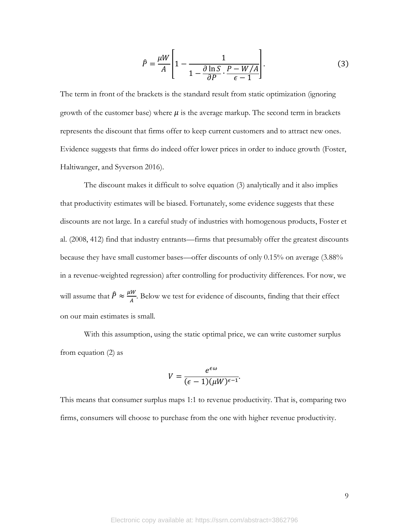$$
\hat{P} = \frac{\mu W}{A} \left[ 1 - \frac{1}{1 - \frac{\partial \ln S}{\partial P} \cdot \frac{P - W/A}{\epsilon - 1}} \right].
$$
\n(3)

The term in front of the brackets is the standard result from static optimization (ignoring growth of the customer base) where  $\mu$  is the average markup. The second term in brackets represents the discount that firms offer to keep current customers and to attract new ones. Evidence suggests that firms do indeed offer lower prices in order to induce growth (Foster, Haltiwanger, and Syverson 2016).

The discount makes it difficult to solve equation (3) analytically and it also implies that productivity estimates will be biased. Fortunately, some evidence suggests that these discounts are not large. In a careful study of industries with homogenous products, Foster et al. (2008, 412) find that industry entrants—firms that presumably offer the greatest discounts because they have small customer bases—offer discounts of only 0.15% on average (3.88% in a revenue-weighted regression) after controlling for productivity differences. For now, we will assume that  $\hat{P} \approx \frac{\mu W}{4}$  $\frac{W}{A}$ . Below we test for evidence of discounts, finding that their effect on our main estimates is small.

With this assumption, using the static optimal price, we can write customer surplus from equation (2) as

$$
V=\frac{e^{\epsilon\omega}}{(\epsilon-1)(\mu W)^{\epsilon-1}}.
$$

This means that consumer surplus maps 1:1 to revenue productivity. That is, comparing two firms, consumers will choose to purchase from the one with higher revenue productivity.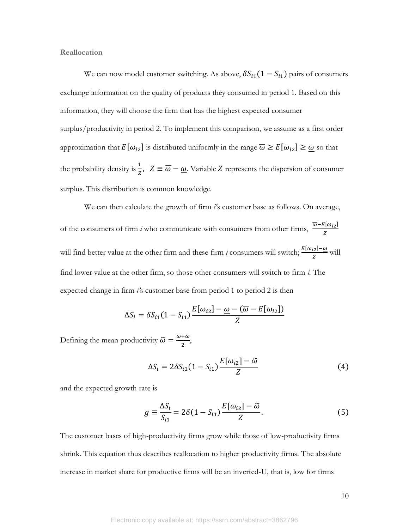**Reallocation**

We can now model customer switching. As above,  $\delta S_{i1}(1 - S_{i1})$  pairs of consumers exchange information on the quality of products they consumed in period 1. Based on this information, they will choose the firm that has the highest expected consumer surplus/productivity in period 2. To implement this comparison, we assume as a first order approximation that  $E[\omega_{i2}]$  is distributed uniformly in the range  $\overline{\omega} \ge E[\omega_{i2}] \ge \underline{\omega}$  so that the probability density is  $\frac{1}{z}$ ,  $Z \equiv \overline{\omega} - \underline{\omega}$ . Variable Z represents the dispersion of consumer surplus. This distribution is common knowledge.

We can then calculate the growth of firm *i'*s customer base as follows. On average, of the consumers of firm *i* who communicate with consumers from other firms,  $\frac{\overline{\omega} - E[\omega_{iz}]}{z}$ Z will find better value at the other firm and these firm *i* consumers will switch;  $\frac{E[\omega_{i2}] - \omega}{Z}$  $rac{u^{21-\omega}}{z}$  will find lower value at the other firm, so those other consumers will switch to firm *i*. The expected change in firm *i'*s customer base from period 1 to period 2 is then

$$
\Delta S_i = \delta S_{i1} (1 - S_{i1}) \frac{E[\omega_{i2}] - \underline{\omega} - (\overline{\omega} - E[\omega_{i2}])}{Z}
$$

Defining the mean productivity  $\tilde{\omega} = \frac{\overline{\omega} + \underline{\omega}}{2}$  $rac{10}{2}$ 

$$
\Delta S_i = 2\delta S_{i1}(1 - S_{i1})\frac{E[\omega_{i2}] - \tilde{\omega}}{Z}
$$
 (4)

and the expected growth rate is

$$
g \equiv \frac{\Delta S_i}{S_{i1}} = 2\delta(1 - S_{i1})\frac{E[\omega_{i2}] - \tilde{\omega}}{Z}.
$$
 (5)

The customer bases of high-productivity firms grow while those of low-productivity firms shrink. This equation thus describes reallocation to higher productivity firms. The absolute increase in market share for productive firms will be an inverted-U, that is, low for firms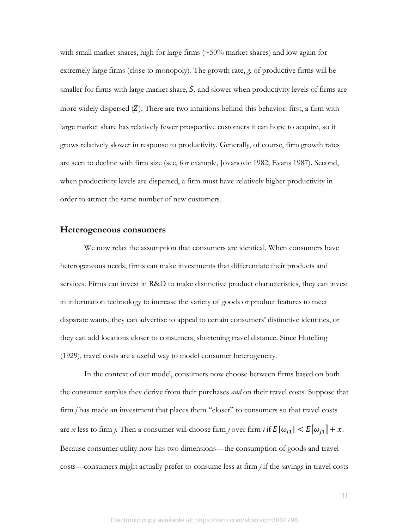with small market shares, high for large firms  $($   $\sim$  50% market shares) and low again for extremely large firms (close to monopoly). The growth rate, *g*, of productive firms will be smaller for firms with large market share,  $S$ , and slower when productivity levels of firms are more widely dispersed  $(Z)$ . There are two intuitions behind this behavior: first, a firm with large market share has relatively fewer prospective customers it can hope to acquire, so it grows relatively slower in response to productivity. Generally, of course, firm growth rates are seen to decline with firm size (see, for example, Jovanovic 1982; Evans 1987). Second, when productivity levels are dispersed, a firm must have relatively higher productivity in order to attract the same number of new customers.

### **Heterogeneous consumers**

We now relax the assumption that consumers are identical. When consumers have heterogeneous needs, firms can make investments that differentiate their products and services. Firms can invest in R&D to make distinctive product characteristics, they can invest in information technology to increase the variety of goods or product features to meet disparate wants, they can advertise to appeal to certain consumers' distinctive identities, or they can add locations closer to consumers, shortening travel distance. Since Hotelling (1929), travel costs are a useful way to model consumer heterogeneity.

In the context of our model, consumers now choose between firms based on both the consumer surplus they derive from their purchases *and* on their travel costs. Suppose that firm *j* has made an investment that places them "closer" to consumers so that travel costs are *x* less to firm *j*. Then a consumer will choose firm *j* over firm *i* if  $E[\omega_{i1}] < E[\omega_{j1}] + x$ . Because consumer utility now has two dimensions—the consumption of goods and travel costs—consumers might actually prefer to consume less at firm *j* if the savings in travel costs

11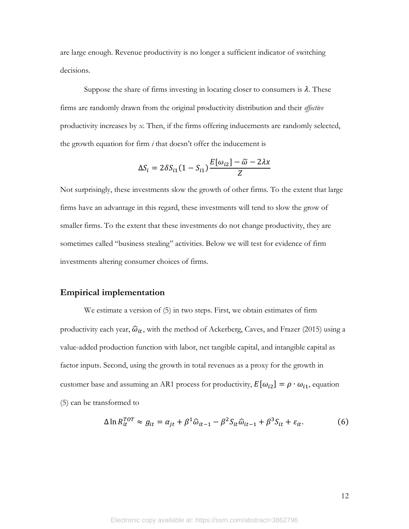are large enough. Revenue productivity is no longer a sufficient indicator of switching decisions.

Suppose the share of firms investing in locating closer to consumers is  $\lambda$ . These firms are randomly drawn from the original productivity distribution and their *effective*  productivity increases by *x*. Then, if the firms offering inducements are randomly selected, the growth equation for firm *i* that doesn't offer the inducement is

$$
\Delta S_i = 2\delta S_{i1}(1 - S_{i1})\frac{E[\omega_{i2}] - \tilde{\omega} - 2\lambda x}{Z}
$$

Not surprisingly, these investments slow the growth of other firms. To the extent that large firms have an advantage in this regard, these investments will tend to slow the grow of smaller firms. To the extent that these investments do not change productivity, they are sometimes called "business stealing" activities. Below we will test for evidence of firm investments altering consumer choices of firms.

#### **Empirical implementation**

We estimate a version of (5) in two steps. First, we obtain estimates of firm productivity each year,  $\widehat{\omega}_{it}$ , with the method of Ackerberg, Caves, and Frazer (2015) using a value-added production function with labor, net tangible capital, and intangible capital as factor inputs. Second, using the growth in total revenues as a proxy for the growth in customer base and assuming an AR1 process for productivity,  $E[\omega_{i2}] = \rho \cdot \omega_{i1}$ , equation (5) can be transformed to

$$
\Delta \ln R_{it}^{TOT} \approx g_{it} = \alpha_{jt} + \beta^1 \hat{\omega}_{it-1} - \beta^2 S_{it} \hat{\omega}_{it-1} + \beta^3 S_{it} + \varepsilon_{it}.
$$
 (6)

12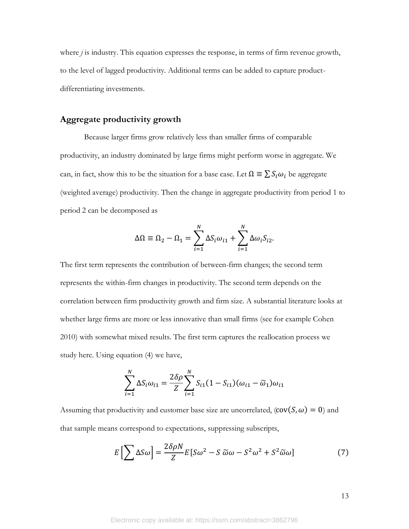where *j* is industry. This equation expresses the response, in terms of firm revenue growth, to the level of lagged productivity. Additional terms can be added to capture productdifferentiating investments.

### **Aggregate productivity growth**

Because larger firms grow relatively less than smaller firms of comparable productivity, an industry dominated by large firms might perform worse in aggregate. We can, in fact, show this to be the situation for a base case. Let  $\Omega \equiv \sum S_i \omega_i$  be aggregate (weighted average) productivity. Then the change in aggregate productivity from period 1 to period 2 can be decomposed as

$$
\Delta \Omega \equiv \Omega_2 - \Omega_1 = \sum_{i=1}^N \Delta S_i \omega_{i1} + \sum_{i=1}^N \Delta \omega_i S_{i2}.
$$

The first term represents the contribution of between-firm changes; the second term represents the within-firm changes in productivity. The second term depends on the correlation between firm productivity growth and firm size. A substantial literature looks at whether large firms are more or less innovative than small firms (see for example Cohen 2010) with somewhat mixed results. The first term captures the reallocation process we study here. Using equation (4) we have,

$$
\sum_{i=1}^{N} \Delta S_i \omega_{i1} = \frac{2\delta \rho}{Z} \sum_{i=1}^{N} S_{i1} (1 - S_{i1}) (\omega_{i1} - \widetilde{\omega}_1) \omega_{i1}
$$

Assuming that productivity and customer base size are uncorrelated,  $(cov(S, \omega) = 0)$  and that sample means correspond to expectations, suppressing subscripts,

$$
E\left[\sum \Delta S\omega\right] = \frac{2\delta\rho N}{Z} E\left[S\omega^2 - S\,\tilde{\omega}\omega - S^2\omega^2 + S^2\tilde{\omega}\omega\right]
$$
 (7)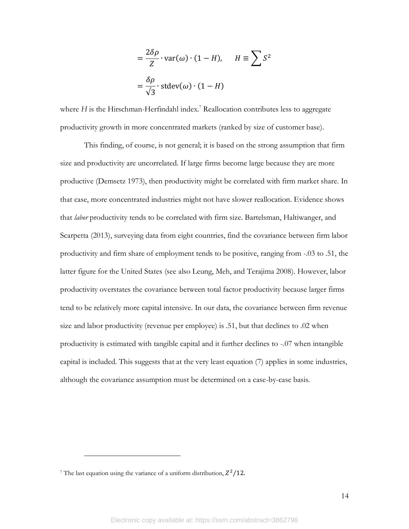$$
= \frac{2\delta\rho}{Z} \cdot \text{var}(\omega) \cdot (1 - H), \quad H \equiv \sum S^2
$$

$$
= \frac{\delta\rho}{\sqrt{3}} \cdot \text{stdev}(\omega) \cdot (1 - H)
$$

where  $H$  is the Hirschman-Herfindahl index.<sup>7</sup> Reallocation contributes less to aggregate productivity growth in more concentrated markets (ranked by size of customer base).

This finding, of course, is not general; it is based on the strong assumption that firm size and productivity are uncorrelated. If large firms become large because they are more productive (Demsetz 1973), then productivity might be correlated with firm market share. In that case, more concentrated industries might not have slower reallocation. Evidence shows that *labor* productivity tends to be correlated with firm size. Bartelsman, Haltiwanger, and Scarpetta (2013), surveying data from eight countries, find the covariance between firm labor productivity and firm share of employment tends to be positive, ranging from -.03 to .51, the latter figure for the United States (see also Leung, Meh, and Terajima 2008). However, labor productivity overstates the covariance between total factor productivity because larger firms tend to be relatively more capital intensive. In our data, the covariance between firm revenue size and labor productivity (revenue per employee) is .51, but that declines to .02 when productivity is estimated with tangible capital and it further declines to -.07 when intangible capital is included. This suggests that at the very least equation (7) applies in some industries, although the covariance assumption must be determined on a case-by-case basis.

<sup>&</sup>lt;sup>7</sup> The last equation using the variance of a uniform distribution,  $Z^2/12$ .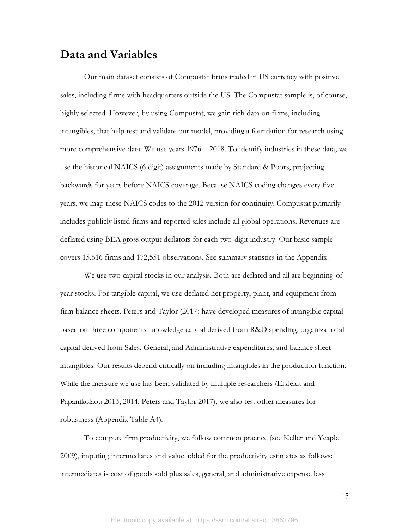## **Data and Variables**

Our main dataset consists of Compustat firms traded in US currency with positive sales, including firms with headquarters outside the US. The Compustat sample is, of course, highly selected. However, by using Compustat, we gain rich data on firms, including intangibles, that help test and validate our model, providing a foundation for research using more comprehensive data. We use years 1976 – 2018. To identify industries in these data, we use the historical NAICS (6 digit) assignments made by Standard & Poors, projecting backwards for years before NAICS coverage. Because NAICS coding changes every five years, we map these NAICS codes to the 2012 version for continuity. Compustat primarily includes publicly listed firms and reported sales include all global operations. Revenues are deflated using BEA gross output deflators for each two-digit industry. Our basic sample covers 15,616 firms and 172,551 observations. See summary statistics in the Appendix.

We use two capital stocks in our analysis. Both are deflated and all are beginning-ofyear stocks. For tangible capital, we use deflated net property, plant, and equipment from firm balance sheets. Peters and Taylor (2017) have developed measures of intangible capital based on three components: knowledge capital derived from R&D spending, organizational capital derived from Sales, General, and Administrative expenditures, and balance sheet intangibles. Our results depend critically on including intangibles in the production function. While the measure we use has been validated by multiple researchers (Eisfeldt and Papanikolaou 2013; 2014; Peters and Taylor 2017), we also test other measures for robustness (Appendix Table A4).

To compute firm productivity, we follow common practice (see Keller and Yeaple 2009), imputing intermediates and value added for the productivity estimates as follows: intermediates is cost of goods sold plus sales, general, and administrative expense less

15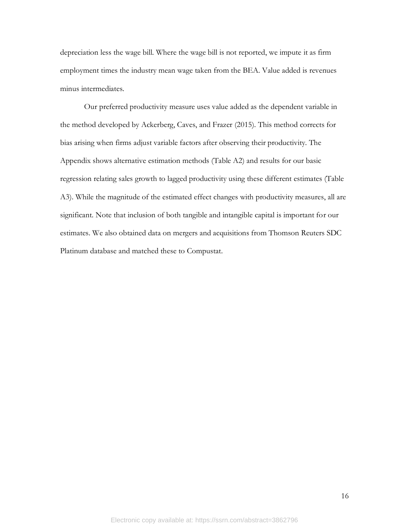depreciation less the wage bill. Where the wage bill is not reported, we impute it as firm employment times the industry mean wage taken from the BEA. Value added is revenues minus intermediates.

Our preferred productivity measure uses value added as the dependent variable in the method developed by Ackerberg, Caves, and Frazer (2015). This method corrects for bias arising when firms adjust variable factors after observing their productivity. The Appendix shows alternative estimation methods (Table A2) and results for our basic regression relating sales growth to lagged productivity using these different estimates (Table A3). While the magnitude of the estimated effect changes with productivity measures, all are significant. Note that inclusion of both tangible and intangible capital is important for our estimates. We also obtained data on mergers and acquisitions from Thomson Reuters SDC Platinum database and matched these to Compustat.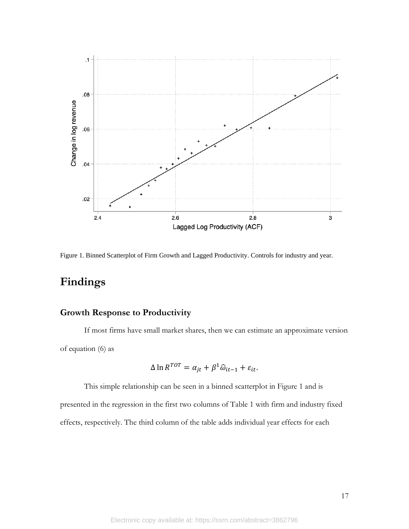

Figure 1. Binned Scatterplot of Firm Growth and Lagged Productivity. Controls for industry and year.

# **Findings**

## **Growth Response to Productivity**

If most firms have small market shares, then we can estimate an approximate version of equation (6) as

$$
\Delta \ln R^{TOT} = \alpha_{jt} + \beta^1 \hat{\omega}_{it-1} + \varepsilon_{it}.
$$

This simple relationship can be seen in a binned scatterplot in Figure 1 and is presented in the regression in the first two columns of Table 1 with firm and industry fixed effects, respectively. The third column of the table adds individual year effects for each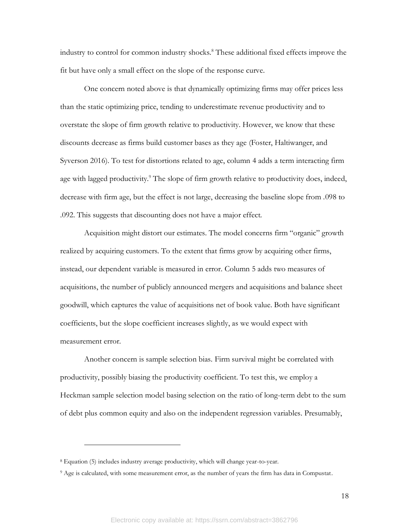industry to control for common industry shocks.<sup>8</sup> These additional fixed effects improve the fit but have only a small effect on the slope of the response curve.

One concern noted above is that dynamically optimizing firms may offer prices less than the static optimizing price, tending to underestimate revenue productivity and to overstate the slope of firm growth relative to productivity. However, we know that these discounts decrease as firms build customer bases as they age (Foster, Haltiwanger, and Syverson 2016). To test for distortions related to age, column 4 adds a term interacting firm age with lagged productivity.<sup>9</sup> The slope of firm growth relative to productivity does, indeed, decrease with firm age, but the effect is not large, decreasing the baseline slope from .098 to .092. This suggests that discounting does not have a major effect.

Acquisition might distort our estimates. The model concerns firm "organic" growth realized by acquiring customers. To the extent that firms grow by acquiring other firms, instead, our dependent variable is measured in error. Column 5 adds two measures of acquisitions, the number of publicly announced mergers and acquisitions and balance sheet goodwill, which captures the value of acquisitions net of book value. Both have significant coefficients, but the slope coefficient increases slightly, as we would expect with measurement error.

Another concern is sample selection bias. Firm survival might be correlated with productivity, possibly biasing the productivity coefficient. To test this, we employ a Heckman sample selection model basing selection on the ratio of long-term debt to the sum of debt plus common equity and also on the independent regression variables. Presumably,

<sup>8</sup> Equation (5) includes industry average productivity, which will change year-to-year.

<sup>&</sup>lt;sup>9</sup> Age is calculated, with some measurement error, as the number of years the firm has data in Compustat.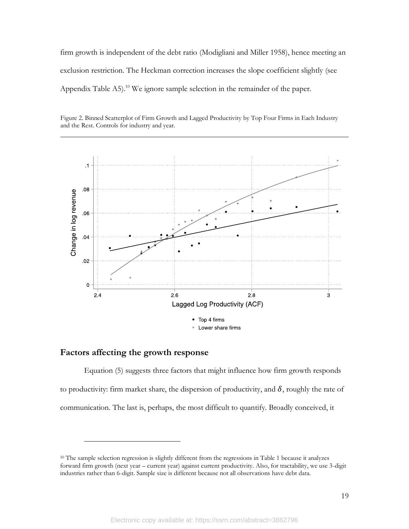firm growth is independent of the debt ratio (Modigliani and Miller 1958), hence meeting an exclusion restriction. The Heckman correction increases the slope coefficient slightly (see Appendix Table A5).<sup>10</sup> We ignore sample selection in the remainder of the paper.



Figure 2. Binned Scatterplot of Firm Growth and Lagged Productivity by Top Four Firms in Each Industry and the Rest. Controls for industry and year.

### **Factors affecting the growth response**

Equation (5) suggests three factors that might influence how firm growth responds to productivity: firm market share, the dispersion of productivity, and  $\delta$ , roughly the rate of communication. The last is, perhaps, the most difficult to quantify. Broadly conceived, it

<sup>&</sup>lt;sup>10</sup> The sample selection regression is slightly different from the regressions in Table 1 because it analyzes forward firm growth (next year – current year) against current productivity. Also, for tractability, we use 3-digit industries rather than 6-digit. Sample size is different because not all observations have debt data.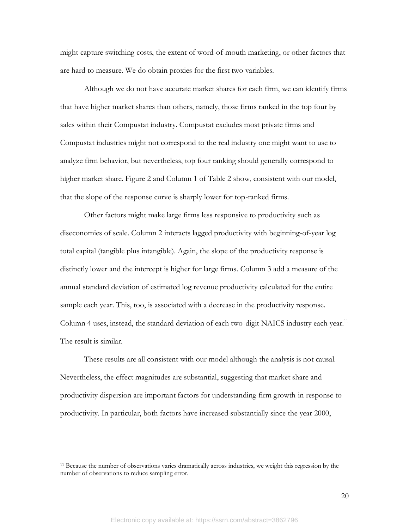might capture switching costs, the extent of word-of-mouth marketing, or other factors that are hard to measure. We do obtain proxies for the first two variables.

Although we do not have accurate market shares for each firm, we can identify firms that have higher market shares than others, namely, those firms ranked in the top four by sales within their Compustat industry. Compustat excludes most private firms and Compustat industries might not correspond to the real industry one might want to use to analyze firm behavior, but nevertheless, top four ranking should generally correspond to higher market share. Figure 2 and Column 1 of Table 2 show, consistent with our model, that the slope of the response curve is sharply lower for top-ranked firms.

Other factors might make large firms less responsive to productivity such as diseconomies of scale. Column 2 interacts lagged productivity with beginning-of-year log total capital (tangible plus intangible). Again, the slope of the productivity response is distinctly lower and the intercept is higher for large firms. Column 3 add a measure of the annual standard deviation of estimated log revenue productivity calculated for the entire sample each year. This, too, is associated with a decrease in the productivity response. Column 4 uses, instead, the standard deviation of each two-digit NAICS industry each year.<sup>11</sup> The result is similar.

These results are all consistent with our model although the analysis is not causal. Nevertheless, the effect magnitudes are substantial, suggesting that market share and productivity dispersion are important factors for understanding firm growth in response to productivity. In particular, both factors have increased substantially since the year 2000,

<sup>11</sup> Because the number of observations varies dramatically across industries, we weight this regression by the number of observations to reduce sampling error.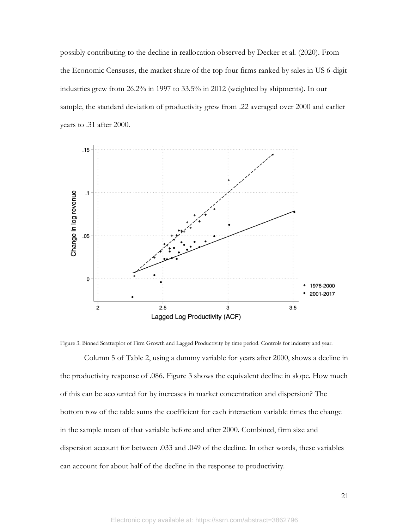possibly contributing to the decline in reallocation observed by Decker et al. (2020). From the Economic Censuses, the market share of the top four firms ranked by sales in US 6-digit industries grew from 26.2% in 1997 to 33.5% in 2012 (weighted by shipments). In our sample, the standard deviation of productivity grew from .22 averaged over 2000 and earlier years to .31 after 2000.



Figure 3. Binned Scatterplot of Firm Growth and Lagged Productivity by time period. Controls for industry and year.

Column 5 of Table 2, using a dummy variable for years after 2000, shows a decline in the productivity response of .086. Figure 3 shows the equivalent decline in slope. How much of this can be accounted for by increases in market concentration and dispersion? The bottom row of the table sums the coefficient for each interaction variable times the change in the sample mean of that variable before and after 2000. Combined, firm size and dispersion account for between .033 and .049 of the decline. In other words, these variables can account for about half of the decline in the response to productivity.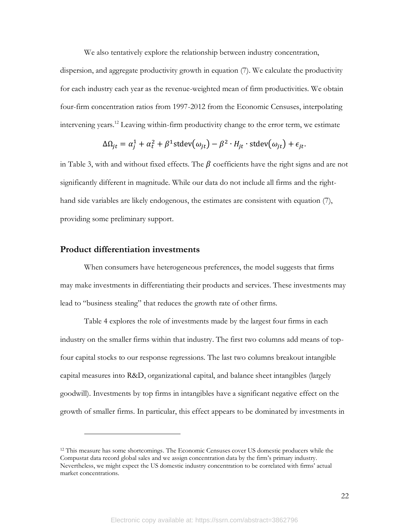We also tentatively explore the relationship between industry concentration,

dispersion, and aggregate productivity growth in equation (7). We calculate the productivity for each industry each year as the revenue-weighted mean of firm productivities. We obtain four-firm concentration ratios from 1997-2012 from the Economic Censuses, interpolating intervening years.<sup>12</sup> Leaving within-firm productivity change to the error term, we estimate

$$
\Delta\Omega_{jt} = \alpha_j^1 + \alpha_t^2 + \beta^1 \text{stdev}(\omega_{jt}) - \beta^2 \cdot H_{jt} \cdot \text{stdev}(\omega_{jt}) + \epsilon_{jt}.
$$

in Table 3, with and without fixed effects. The  $\beta$  coefficients have the right signs and are not significantly different in magnitude. While our data do not include all firms and the righthand side variables are likely endogenous, the estimates are consistent with equation (7), providing some preliminary support.

## **Product differentiation investments**

When consumers have heterogeneous preferences, the model suggests that firms may make investments in differentiating their products and services. These investments may lead to "business stealing" that reduces the growth rate of other firms.

Table 4 explores the role of investments made by the largest four firms in each industry on the smaller firms within that industry. The first two columns add means of topfour capital stocks to our response regressions. The last two columns breakout intangible capital measures into R&D, organizational capital, and balance sheet intangibles (largely goodwill). Investments by top firms in intangibles have a significant negative effect on the growth of smaller firms. In particular, this effect appears to be dominated by investments in

<sup>12</sup> This measure has some shortcomings. The Economic Censuses cover US domestic producers while the Compustat data record global sales and we assign concentration data by the firm's primary industry. Nevertheless, we might expect the US domestic industry concentration to be correlated with firms' actual market concentrations.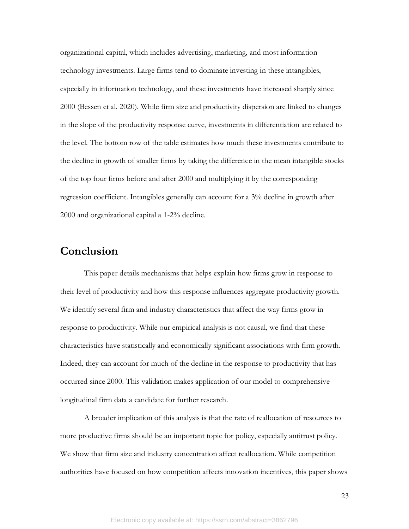organizational capital, which includes advertising, marketing, and most information technology investments. Large firms tend to dominate investing in these intangibles, especially in information technology, and these investments have increased sharply since 2000 (Bessen et al. 2020). While firm size and productivity dispersion are linked to changes in the slope of the productivity response curve, investments in differentiation are related to the level. The bottom row of the table estimates how much these investments contribute to the decline in growth of smaller firms by taking the difference in the mean intangible stocks of the top four firms before and after 2000 and multiplying it by the corresponding regression coefficient. Intangibles generally can account for a 3% decline in growth after 2000 and organizational capital a 1-2% decline.

## **Conclusion**

This paper details mechanisms that helps explain how firms grow in response to their level of productivity and how this response influences aggregate productivity growth. We identify several firm and industry characteristics that affect the way firms grow in response to productivity. While our empirical analysis is not causal, we find that these characteristics have statistically and economically significant associations with firm growth. Indeed, they can account for much of the decline in the response to productivity that has occurred since 2000. This validation makes application of our model to comprehensive longitudinal firm data a candidate for further research.

A broader implication of this analysis is that the rate of reallocation of resources to more productive firms should be an important topic for policy, especially antitrust policy. We show that firm size and industry concentration affect reallocation. While competition authorities have focused on how competition affects innovation incentives, this paper shows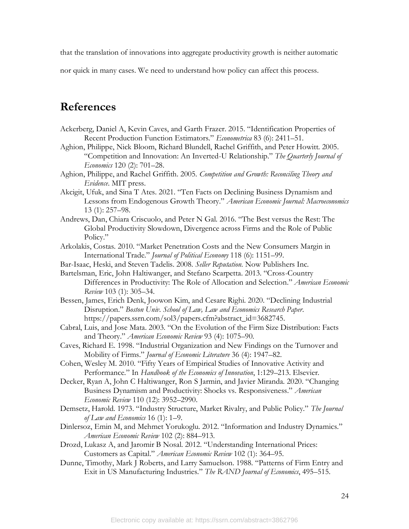that the translation of innovations into aggregate productivity growth is neither automatic

nor quick in many cases. We need to understand how policy can affect this process.

## **References**

- Ackerberg, Daniel A, Kevin Caves, and Garth Frazer. 2015. "Identification Properties of Recent Production Function Estimators." *Econometrica* 83 (6): 2411–51. Aghion, Philippe, Nick Bloom, Richard Blundell, Rachel Griffith, and Peter Howitt. 2005. "Competition and Innovation: An Inverted-U Relationship." *The Quarterly Journal of Economics* 120 (2): 701–28. Aghion, Philippe, and Rachel Griffith. 2005. *Competition and Growth: Reconciling Theory and Evidence*. MIT press. Akcigit, Ufuk, and Sina T Ates. 2021. "Ten Facts on Declining Business Dynamism and Lessons from Endogenous Growth Theory." *American Economic Journal: Macroeconomics* 13 (1): 257–98. Andrews, Dan, Chiara Criscuolo, and Peter N Gal. 2016. "The Best versus the Rest: The Global Productivity Slowdown, Divergence across Firms and the Role of Public Policy." Arkolakis, Costas. 2010. "Market Penetration Costs and the New Consumers Margin in International Trade." *Journal of Political Economy* 118 (6): 1151–99. Bar-Isaac, Heski, and Steven Tadelis. 2008. *Seller Reputation*. Now Publishers Inc. Bartelsman, Eric, John Haltiwanger, and Stefano Scarpetta. 2013. "Cross-Country Differences in Productivity: The Role of Allocation and Selection." *American Economic Review* 103 (1): 305–34. Bessen, James, Erich Denk, Joowon Kim, and Cesare Righi. 2020. "Declining Industrial Disruption." *Boston Univ. School of Law, Law and Economics Research Paper*. https://papers.ssrn.com/sol3/papers.cfm?abstract\_id=3682745. Cabral, Luis, and Jose Mata. 2003. "On the Evolution of the Firm Size Distribution: Facts and Theory." *American Economic Review* 93 (4): 1075–90. Caves, Richard E. 1998. "Industrial Organization and New Findings on the Turnover and Mobility of Firms." *Journal of Economic Literature* 36 (4): 1947–82. Cohen, Wesley M. 2010. "Fifty Years of Empirical Studies of Innovative Activity and Performance." In *Handbook of the Economics of Innovation*, 1:129–213. Elsevier. Decker, Ryan A, John C Haltiwanger, Ron S Jarmin, and Javier Miranda. 2020. "Changing Business Dynamism and Productivity: Shocks vs. Responsiveness." *American Economic Review* 110 (12): 3952–2990. Demsetz, Harold. 1973. "Industry Structure, Market Rivalry, and Public Policy." *The Journal of Law and Economics* 16 (1): 1–9. Dinlersoz, Emin M, and Mehmet Yorukoglu. 2012. "Information and Industry Dynamics." *American Economic Review* 102 (2): 884–913. Drozd, Lukasz A, and Jaromir B Nosal. 2012. "Understanding International Prices: Customers as Capital." *American Economic Review* 102 (1): 364–95.
- Dunne, Timothy, Mark J Roberts, and Larry Samuelson. 1988. "Patterns of Firm Entry and Exit in US Manufacturing Industries." *The RAND Journal of Economics*, 495–515.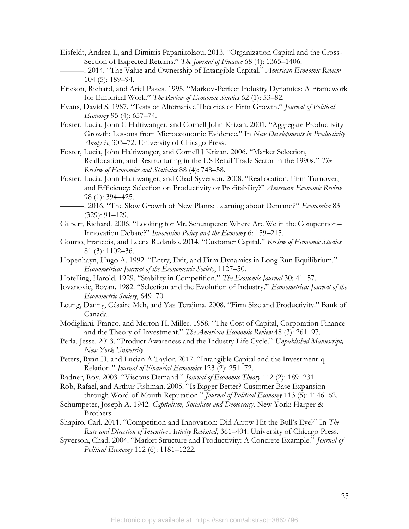- Eisfeldt, Andrea L, and Dimitris Papanikolaou. 2013. "Organization Capital and the Cross-Section of Expected Returns." *The Journal of Finance* 68 (4): 1365–1406.
- ———. 2014. "The Value and Ownership of Intangible Capital." *American Economic Review* 104 (5): 189–94.
- Ericson, Richard, and Ariel Pakes. 1995. "Markov-Perfect Industry Dynamics: A Framework for Empirical Work." *The Review of Economic Studies* 62 (1): 53–82.
- Evans, David S. 1987. "Tests of Alternative Theories of Firm Growth." *Journal of Political Economy* 95 (4): 657–74.
- Foster, Lucia, John C Haltiwanger, and Cornell John Krizan. 2001. "Aggregate Productivity Growth: Lessons from Microeconomic Evidence." In *New Developments in Productivity Analysis*, 303–72. University of Chicago Press.
- Foster, Lucia, John Haltiwanger, and Cornell J Krizan. 2006. "Market Selection, Reallocation, and Restructuring in the US Retail Trade Sector in the 1990s." *The Review of Economics and Statistics* 88 (4): 748–58.
- Foster, Lucia, John Haltiwanger, and Chad Syverson. 2008. "Reallocation, Firm Turnover, and Efficiency: Selection on Productivity or Profitability?" *American Economic Review* 98 (1): 394–425.
	- ———. 2016. "The Slow Growth of New Plants: Learning about Demand?" *Economica* 83 (329): 91–129.
- Gilbert, Richard. 2006. "Looking for Mr. Schumpeter: Where Are We in the Competition– Innovation Debate?" *Innovation Policy and the Economy* 6: 159–215.
- Gourio, Francois, and Leena Rudanko. 2014. "Customer Capital." *Review of Economic Studies* 81 (3): 1102–36.
- Hopenhayn, Hugo A. 1992. "Entry, Exit, and Firm Dynamics in Long Run Equilibrium." *Econometrica: Journal of the Econometric Society*, 1127–50.
- Hotelling, Harold. 1929. "Stability in Competition." *The Economic Journal* 30: 41–57.
- Jovanovic, Boyan. 1982. "Selection and the Evolution of Industry." *Econometrica: Journal of the Econometric Society*, 649–70.
- Leung, Danny, Césaire Meh, and Yaz Terajima. 2008. "Firm Size and Productivity." Bank of Canada.
- Modigliani, Franco, and Merton H. Miller. 1958. "The Cost of Capital, Corporation Finance and the Theory of Investment." *The American Economic Review* 48 (3): 261–97.
- Perla, Jesse. 2013. "Product Awareness and the Industry Life Cycle." *Unpublished Manuscript, New York University*.
- Peters, Ryan H, and Lucian A Taylor. 2017. "Intangible Capital and the Investment-q Relation." *Journal of Financial Economics* 123 (2): 251–72.
- Radner, Roy. 2003. "Viscous Demand." *Journal of Economic Theory* 112 (2): 189–231.
- Rob, Rafael, and Arthur Fishman. 2005. "Is Bigger Better? Customer Base Expansion through Word-of-Mouth Reputation." *Journal of Political Economy* 113 (5): 1146–62.
- Schumpeter, Joseph A. 1942. *Capitalism, Socialism and Democracy*. New York: Harper & Brothers.
- Shapiro, Carl. 2011. "Competition and Innovation: Did Arrow Hit the Bull's Eye?" In *The Rate and Direction of Inventive Activity Revisited*, 361–404. University of Chicago Press.
- Syverson, Chad. 2004. "Market Structure and Productivity: A Concrete Example." *Journal of Political Economy* 112 (6): 1181–1222.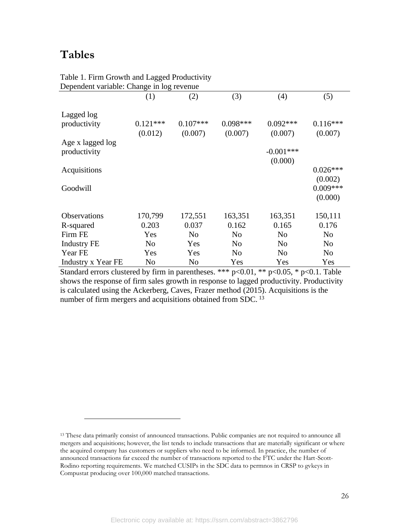## **Tables**

| Dependent variable. Change in log revenue |                |                |                |                |                |
|-------------------------------------------|----------------|----------------|----------------|----------------|----------------|
|                                           | (1)            | (2)            | (3)            | (4)            | (5)            |
| Lagged log<br>productivity                | $0.121***$     | $0.107***$     | $0.098***$     | $0.092***$     | $0.116***$     |
|                                           | (0.012)        | (0.007)        | (0.007)        | (0.007)        | (0.007)        |
| Age x lagged log                          |                |                |                |                |                |
| productivity                              |                |                |                | $-0.001***$    |                |
|                                           |                |                |                | (0.000)        |                |
| Acquisitions                              |                |                |                |                | $0.026***$     |
|                                           |                |                |                |                | (0.002)        |
| Goodwill                                  |                |                |                |                | $0.009***$     |
|                                           |                |                |                |                | (0.000)        |
| <b>Observations</b>                       | 170,799        | 172,551        | 163,351        | 163,351        | 150,111        |
| R-squared                                 | 0.203          | 0.037          | 0.162          | 0.165          | 0.176          |
| Firm FE                                   | Yes            | N <sub>o</sub> | N <sub>0</sub> | N <sub>0</sub> | N <sub>o</sub> |
| <b>Industry FE</b>                        | N <sub>o</sub> | Yes            | N <sub>o</sub> | N <sub>0</sub> | N <sub>o</sub> |
| Year FE                                   | Yes            | Yes            | N <sub>0</sub> | N <sub>o</sub> | N <sub>o</sub> |
| Industry x Year FE                        | No             | N <sub>0</sub> | Yes            | Yes            | Yes            |

#### Table 1. Firm Growth and Lagged Productivity Dependent variable: Change in log revenue

Standard errors clustered by firm in parentheses. \*\*\*  $p<0.01$ , \*\*  $p<0.05$ , \*  $p<0.1$ . Table shows the response of firm sales growth in response to lagged productivity. Productivity is calculated using the Ackerberg, Caves, Frazer method (2015). Acquisitions is the number of firm mergers and acquisitions obtained from SDC.<sup>13</sup>

<sup>13</sup> These data primarily consist of announced transactions. Public companies are not required to announce all mergers and acquisitions; however, the list tends to include transactions that are materially significant or where the acquired company has customers or suppliers who need to be informed. In practice, the number of announced transactions far exceed the number of transactions reported to the FTC under the Hart-Scott-Rodino reporting requirements. We matched CUSIPs in the SDC data to permnos in CRSP to gvkeys in Compustat producing over 100,000 matched transactions.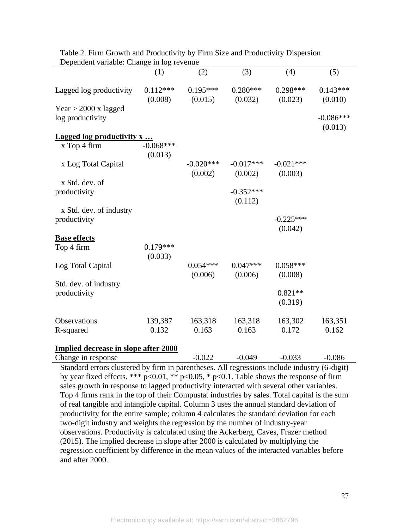|                                                                                              | (1)         | (2)         | (3)         | (4)         | (5)         |
|----------------------------------------------------------------------------------------------|-------------|-------------|-------------|-------------|-------------|
| Lagged log productivity                                                                      | $0.112***$  | $0.195***$  | $0.280***$  | 0.298***    | $0.143***$  |
|                                                                                              | (0.008)     | (0.015)     | (0.032)     | (0.023)     | (0.010)     |
| Year > 2000 x lagged                                                                         |             |             |             |             |             |
| log productivity                                                                             |             |             |             |             | $-0.086***$ |
|                                                                                              |             |             |             |             | (0.013)     |
| <b>Lagged log productivity x</b>                                                             |             |             |             |             |             |
| x Top 4 firm                                                                                 | $-0.068***$ |             |             |             |             |
|                                                                                              | (0.013)     | $-0.020***$ | $-0.017***$ | $-0.021***$ |             |
| x Log Total Capital                                                                          |             | (0.002)     | (0.002)     | (0.003)     |             |
| x Std. dev. of                                                                               |             |             |             |             |             |
| productivity                                                                                 |             |             | $-0.352***$ |             |             |
|                                                                                              |             |             | (0.112)     |             |             |
| x Std. dev. of industry                                                                      |             |             |             |             |             |
| productivity                                                                                 |             |             |             | $-0.225***$ |             |
|                                                                                              |             |             |             | (0.042)     |             |
| <b>Base effects</b>                                                                          |             |             |             |             |             |
| Top 4 firm                                                                                   | $0.179***$  |             |             |             |             |
| Log Total Capital                                                                            | (0.033)     | $0.054***$  | $0.047***$  | $0.058***$  |             |
|                                                                                              |             | (0.006)     | (0.006)     | (0.008)     |             |
| Std. dev. of industry                                                                        |             |             |             |             |             |
| productivity                                                                                 |             |             |             | $0.821**$   |             |
|                                                                                              |             |             |             | (0.319)     |             |
|                                                                                              |             |             |             |             |             |
| Observations                                                                                 | 139,387     | 163,318     | 163,318     | 163,302     | 163,351     |
| R-squared                                                                                    | 0.132       | 0.163       | 0.163       | 0.172       | 0.162       |
|                                                                                              |             |             |             |             |             |
| <b>Implied decrease in slope after 2000</b>                                                  |             | $-0.022$    | $-0.049$    | $-0.033$    | $-0.086$    |
| Change in response                                                                           |             |             |             |             |             |
| Standard errors clustered by firm in parentheses. All regressions include industry (6-digit) |             |             |             |             |             |

Table 2. Firm Growth and Productivity by Firm Size and Productivity Dispersion Dependent variable: Change in log revenue

by year fixed effects. \*\*\*  $p<0.01$ , \*\*  $p<0.05$ , \*  $p<0.1$ . Table shows the response of firm sales growth in response to lagged productivity interacted with several other variables. Top 4 firms rank in the top of their Compustat industries by sales. Total capital is the sum of real tangible and intangible capital. Column 3 uses the annual standard deviation of productivity for the entire sample; column 4 calculates the standard deviation for each two-digit industry and weights the regression by the number of industry-year observations. Productivity is calculated using the Ackerberg, Caves, Frazer method (2015). The implied decrease in slope after 2000 is calculated by multiplying the regression coefficient by difference in the mean values of the interacted variables before and after 2000.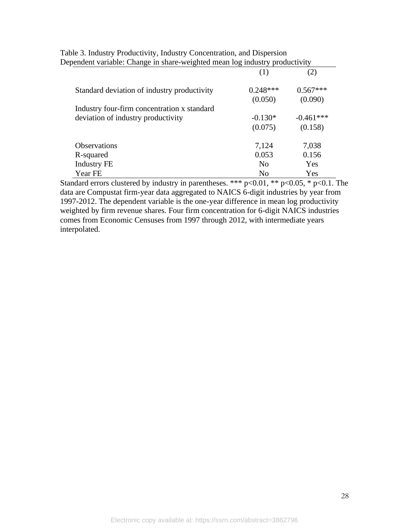| $\sqrt{2}$                                  | (1)            |             |
|---------------------------------------------|----------------|-------------|
| Standard deviation of industry productivity | $0.248***$     | $0.567***$  |
|                                             | (0.050)        | (0.090)     |
| Industry four-firm concentration x standard |                |             |
| deviation of industry productivity          | $-0.130*$      | $-0.461***$ |
|                                             | (0.075)        | (0.158)     |
| <b>Observations</b>                         | 7,124          | 7,038       |
| R-squared                                   | 0.053          | 0.156       |
| <b>Industry FE</b>                          | N <sub>0</sub> | Yes         |
| Year FE                                     | No             | Yes         |

Table 3. Industry Productivity, Industry Concentration, and Dispersion Dependent variable: Change in share-weighted mean log industry productivity

Standard errors clustered by industry in parentheses. \*\*\*  $p<0.01$ , \*\*  $p<0.05$ , \*  $p<0.1$ . The data are Compustat firm-year data aggregated to NAICS 6-digit industries by year from 1997-2012. The dependent variable is the one-year difference in mean log productivity weighted by firm revenue shares. Four firm concentration for 6-digit NAICS industries comes from Economic Censuses from 1997 through 2012, with intermediate years interpolated.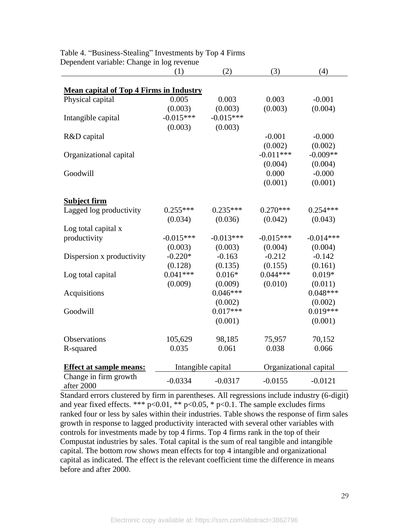|                                                | (1)                | (2)         | (3)         | (4)                    |
|------------------------------------------------|--------------------|-------------|-------------|------------------------|
| <b>Mean capital of Top 4 Firms in Industry</b> |                    |             |             |                        |
| Physical capital                               | 0.005              | 0.003       | 0.003       | $-0.001$               |
|                                                | (0.003)            | (0.003)     | (0.003)     | (0.004)                |
| Intangible capital                             | $-0.015***$        | $-0.015***$ |             |                        |
|                                                | (0.003)            | (0.003)     |             |                        |
| R&D capital                                    |                    |             | $-0.001$    | $-0.000$               |
|                                                |                    |             | (0.002)     | (0.002)                |
| Organizational capital                         |                    |             | $-0.011***$ | $-0.009**$             |
|                                                |                    |             | (0.004)     | (0.004)                |
| Goodwill                                       |                    |             | 0.000       | $-0.000$               |
|                                                |                    |             | (0.001)     | (0.001)                |
|                                                |                    |             |             |                        |
| <b>Subject firm</b>                            |                    |             |             |                        |
| Lagged log productivity                        | $0.255***$         | $0.235***$  | $0.270***$  | $0.254***$             |
|                                                | (0.034)            | (0.036)     | (0.042)     | (0.043)                |
| Log total capital x                            |                    |             |             |                        |
| productivity                                   | $-0.015***$        | $-0.013***$ | $-0.015***$ | $-0.014***$            |
|                                                | (0.003)            | (0.003)     | (0.004)     | (0.004)                |
| Dispersion x productivity                      | $-0.220*$          | $-0.163$    | $-0.212$    | $-0.142$               |
|                                                | (0.128)            | (0.135)     | (0.155)     | (0.161)                |
| Log total capital                              | $0.041***$         | $0.016*$    | $0.044***$  | $0.019*$               |
|                                                | (0.009)            | (0.009)     | (0.010)     | (0.011)                |
| Acquisitions                                   |                    | $0.046***$  |             | $0.048***$             |
|                                                |                    | (0.002)     |             | (0.002)                |
| Goodwill                                       |                    | $0.017***$  |             | $0.019***$             |
|                                                |                    | (0.001)     |             | (0.001)                |
| Observations                                   | 105,629            | 98,185      | 75,957      | 70,152                 |
| R-squared                                      | 0.035              | 0.061       | 0.038       | 0.066                  |
|                                                |                    |             |             |                        |
| <b>Effect at sample means:</b>                 | Intangible capital |             |             | Organizational capital |
| Change in firm growth<br>after 2000            | $-0.0334$          | $-0.0317$   | $-0.0155$   | $-0.0121$              |

Table 4. "Business-Stealing" Investments by Top 4 Firms Dependent variable: Change in log revenue

Standard errors clustered by firm in parentheses. All regressions include industry (6-digit) and year fixed effects. \*\*\*  $p<0.01$ , \*\*  $p<0.05$ , \*  $p<0.1$ . The sample excludes firms ranked four or less by sales within their industries. Table shows the response of firm sales growth in response to lagged productivity interacted with several other variables with controls for investments made by top 4 firms. Top 4 firms rank in the top of their Compustat industries by sales. Total capital is the sum of real tangible and intangible capital. The bottom row shows mean effects for top 4 intangible and organizational capital as indicated. The effect is the relevant coefficient time the difference in means before and after 2000.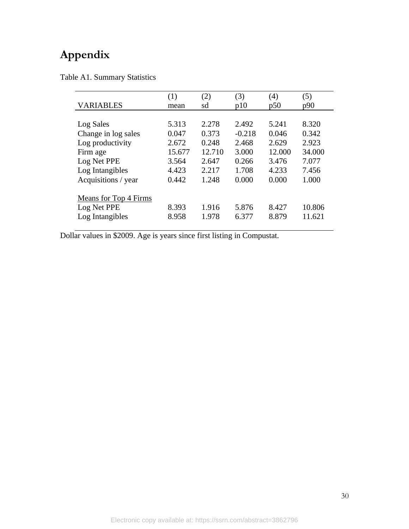# **Appendix**

Table A1. Summary Statistics

|                              | (1)    | (2)    | (3)      | $\left( 4\right)$ | (5)    |
|------------------------------|--------|--------|----------|-------------------|--------|
| <b>VARIABLES</b>             | mean   | sd     | p10      | p50               | p90    |
|                              |        |        |          |                   |        |
| Log Sales                    | 5.313  | 2.278  | 2.492    | 5.241             | 8.320  |
| Change in log sales          | 0.047  | 0.373  | $-0.218$ | 0.046             | 0.342  |
| Log productivity             | 2.672  | 0.248  | 2.468    | 2.629             | 2.923  |
| Firm age                     | 15.677 | 12.710 | 3.000    | 12.000            | 34.000 |
| Log Net PPE                  | 3.564  | 2.647  | 0.266    | 3.476             | 7.077  |
| Log Intangibles              | 4.423  | 2.217  | 1.708    | 4.233             | 7.456  |
| Acquisitions / year          | 0.442  | 1.248  | 0.000    | 0.000             | 1.000  |
|                              |        |        |          |                   |        |
| <b>Means for Top 4 Firms</b> |        |        |          |                   |        |
| Log Net PPE                  | 8.393  | 1.916  | 5.876    | 8.427             | 10.806 |
| Log Intangibles              | 8.958  | 1.978  | 6.377    | 8.879             | 11.621 |
|                              |        |        |          |                   |        |

Dollar values in \$2009. Age is years since first listing in Compustat.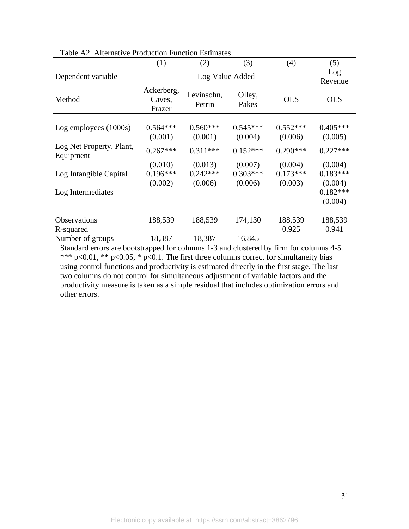|                                       | (1)                            | (2)                   | (3)                   | (4)                   | (5)                              |
|---------------------------------------|--------------------------------|-----------------------|-----------------------|-----------------------|----------------------------------|
| Dependent variable                    |                                | Log Value Added       |                       |                       | Log<br>Revenue                   |
| Method                                | Ackerberg,<br>Caves,<br>Frazer | Levinsohn,<br>Petrin  | Olley,<br>Pakes       | <b>OLS</b>            | <b>OLS</b>                       |
| Log employees (1000s)                 | $0.564***$<br>(0.001)          | $0.560***$<br>(0.001) | $0.545***$<br>(0.004) | $0.552***$<br>(0.006) | $0.405***$<br>(0.005)            |
| Log Net Property, Plant,<br>Equipment | $0.267***$                     | $0.311***$            | $0.152***$            | $0.290***$            | $0.227***$                       |
|                                       | (0.010)                        | (0.013)               | (0.007)               | (0.004)               | (0.004)                          |
| Log Intangible Capital                | $0.196***$                     | $0.242***$            | $0.303***$            | $0.173***$            | $0.183***$                       |
| Log Intermediates                     | (0.002)                        | (0.006)               | (0.006)               | (0.003)               | (0.004)<br>$0.182***$<br>(0.004) |
| Observations<br>R-squared             | 188,539                        | 188,539               | 174,130               | 188,539<br>0.925      | 188,539<br>0.941                 |
| Number of groups                      | 18,387                         | 18,387                | 16,845                |                       |                                  |

#### Table A2. Alternative Production Function Estimates

Standard errors are bootstrapped for columns 1-3 and clustered by firm for columns 4-5. \*\*\* p<0.01, \*\* p<0.05, \* p<0.1. The first three columns correct for simultaneity bias using control functions and productivity is estimated directly in the first stage. The last two columns do not control for simultaneous adjustment of variable factors and the productivity measure is taken as a simple residual that includes optimization errors and other errors.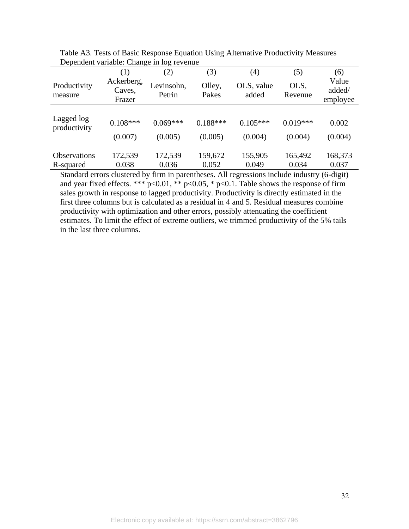|                            | (1)                            | (2)                  | (3)             | (4)                 | (5)             | (6)                         |
|----------------------------|--------------------------------|----------------------|-----------------|---------------------|-----------------|-----------------------------|
| Productivity<br>measure    | Ackerberg,<br>Caves,<br>Frazer | Levinsohn,<br>Petrin | Olley,<br>Pakes | OLS, value<br>added | OLS,<br>Revenue | Value<br>added/<br>employee |
|                            |                                |                      |                 |                     |                 |                             |
| Lagged log<br>productivity | $0.108***$                     | $0.069***$           | $0.188***$      | $0.105***$          | $0.019***$      | 0.002                       |
|                            | (0.007)                        | (0.005)              | (0.005)         | (0.004)             | (0.004)         | (0.004)                     |
| <b>Observations</b>        | 172,539                        | 172,539              | 159,672         | 155,905             | 165,492         | 168,373                     |
| R-squared                  | 0.038                          | 0.036                | 0.052           | 0.049               | 0.034           | 0.037                       |

Table A3. Tests of Basic Response Equation Using Alternative Productivity Measures Dependent variable: Change in log revenue

Standard errors clustered by firm in parentheses. All regressions include industry (6-digit) and year fixed effects. \*\*\*  $p<0.01$ , \*\*  $p<0.05$ , \*  $p<0.1$ . Table shows the response of firm sales growth in response to lagged productivity. Productivity is directly estimated in the first three columns but is calculated as a residual in 4 and 5. Residual measures combine productivity with optimization and other errors, possibly attenuating the coefficient estimates. To limit the effect of extreme outliers, we trimmed productivity of the 5% tails in the last three columns.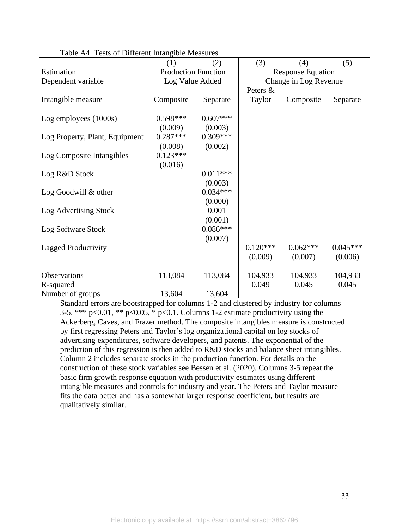| raone <i>i</i> n it rests of Billerein intanglone measures |                            |            |            |                          |            |
|------------------------------------------------------------|----------------------------|------------|------------|--------------------------|------------|
|                                                            | (1)                        | (2)        | (3)        | (4)                      | (5)        |
| Estimation                                                 | <b>Production Function</b> |            |            | <b>Response Equation</b> |            |
| Dependent variable                                         | Log Value Added            |            |            | Change in Log Revenue    |            |
|                                                            |                            |            | Peters &   |                          |            |
| Intangible measure                                         | Composite                  | Separate   | Taylor     | Composite                | Separate   |
|                                                            |                            |            |            |                          |            |
| Log employees (1000s)                                      | $0.598***$                 | $0.607***$ |            |                          |            |
|                                                            | (0.009)                    | (0.003)    |            |                          |            |
| Log Property, Plant, Equipment                             | $0.287***$                 | $0.309***$ |            |                          |            |
|                                                            | (0.008)                    | (0.002)    |            |                          |            |
| Log Composite Intangibles                                  | $0.123***$                 |            |            |                          |            |
|                                                            | (0.016)                    |            |            |                          |            |
| Log R&D Stock                                              |                            | $0.011***$ |            |                          |            |
|                                                            |                            | (0.003)    |            |                          |            |
| Log Goodwill $&$ other                                     |                            | $0.034***$ |            |                          |            |
|                                                            |                            | (0.000)    |            |                          |            |
| Log Advertising Stock                                      |                            | 0.001      |            |                          |            |
|                                                            |                            | (0.001)    |            |                          |            |
| Log Software Stock                                         |                            | $0.086***$ |            |                          |            |
|                                                            |                            | (0.007)    |            |                          |            |
| <b>Lagged Productivity</b>                                 |                            |            | $0.120***$ | $0.062***$               | $0.045***$ |
|                                                            |                            |            | (0.009)    | (0.007)                  | (0.006)    |
| Observations                                               | 113,084                    | 113,084    | 104,933    | 104,933                  | 104,933    |
| R-squared                                                  |                            |            | 0.049      | 0.045                    | 0.045      |
| Number of groups                                           | 13,604                     | 13,604     |            |                          |            |

| Table A4. Tests of Different Intangible Measures |  |
|--------------------------------------------------|--|
|--------------------------------------------------|--|

Standard errors are bootstrapped for columns 1-2 and clustered by industry for columns 3-5. \*\*\*  $p<0.01$ , \*\*  $p<0.05$ , \*  $p<0.1$ . Columns 1-2 estimate productivity using the Ackerberg, Caves, and Frazer method. The composite intangibles measure is constructed by first regressing Peters and Taylor's log organizational capital on log stocks of advertising expenditures, software developers, and patents. The exponential of the prediction of this regression is then added to R&D stocks and balance sheet intangibles. Column 2 includes separate stocks in the production function. For details on the construction of these stock variables see Bessen et al. (2020). Columns 3-5 repeat the basic firm growth response equation with productivity estimates using different intangible measures and controls for industry and year. The Peters and Taylor measure fits the data better and has a somewhat larger response coefficient, but results are qualitatively similar.